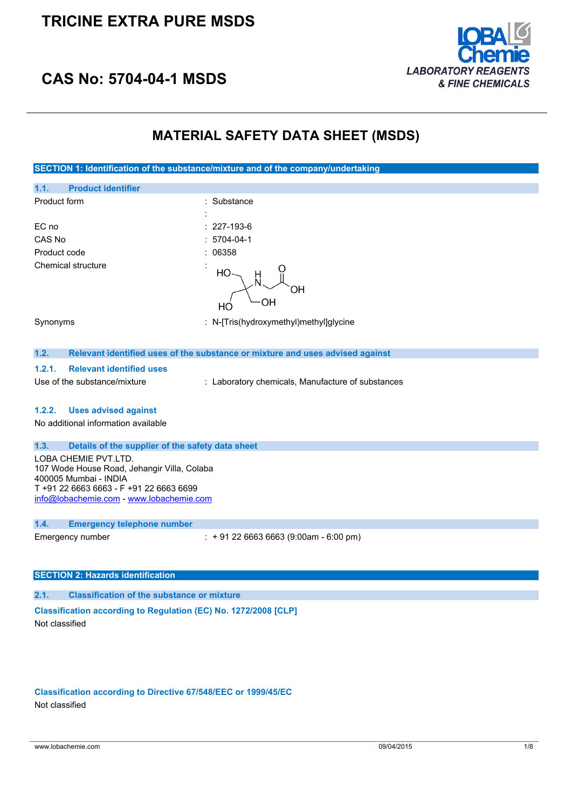## **TRICINE EXTRA PURE MSDS**



# **CAS No: 5704-04-1 MSDS**

## **MATERIAL SAFETY DATA SHEET (MSDS)**

**SECTION 1: Identification of the substance/mixture and of the company/undertaking**

| 1.1.<br><b>Product identifier</b>                                                                                                                                                   |                                                                               |
|-------------------------------------------------------------------------------------------------------------------------------------------------------------------------------------|-------------------------------------------------------------------------------|
| Product form                                                                                                                                                                        | Substance                                                                     |
|                                                                                                                                                                                     |                                                                               |
| EC no                                                                                                                                                                               | 227-193-6                                                                     |
| CAS No                                                                                                                                                                              | 5704-04-1                                                                     |
| Product code                                                                                                                                                                        | 06358                                                                         |
| Chemical structure                                                                                                                                                                  | HO<br>OН<br>OН<br>HO                                                          |
| Synonyms                                                                                                                                                                            | : N-[Tris(hydroxymethyl)methyl]glycine                                        |
| 1.2.                                                                                                                                                                                | Relevant identified uses of the substance or mixture and uses advised against |
| <b>Relevant identified uses</b><br>1.2.1.                                                                                                                                           |                                                                               |
| Use of the substance/mixture                                                                                                                                                        | : Laboratory chemicals, Manufacture of substances                             |
|                                                                                                                                                                                     |                                                                               |
| 1.2.2.<br><b>Uses advised against</b>                                                                                                                                               |                                                                               |
| No additional information available                                                                                                                                                 |                                                                               |
|                                                                                                                                                                                     |                                                                               |
| 1.3.<br>Details of the supplier of the safety data sheet                                                                                                                            |                                                                               |
| LOBA CHEMIE PVT.LTD.<br>107 Wode House Road, Jehangir Villa, Colaba<br>400005 Mumbai - INDIA<br>T +91 22 6663 6663 - F +91 22 6663 6699<br>info@lobachemie.com - www.lobachemie.com |                                                                               |

### **1.4. Emergency telephone number**

Emergency number : + 91 22 6663 6663 (9:00am - 6:00 pm)

## **SECTION 2: Hazards identification**

**2.1. Classification of the substance or mixture**

**Classification according to Regulation (EC) No. 1272/2008 [CLP]** Not classified

**Classification according to Directive 67/548/EEC or 1999/45/EC** Not classified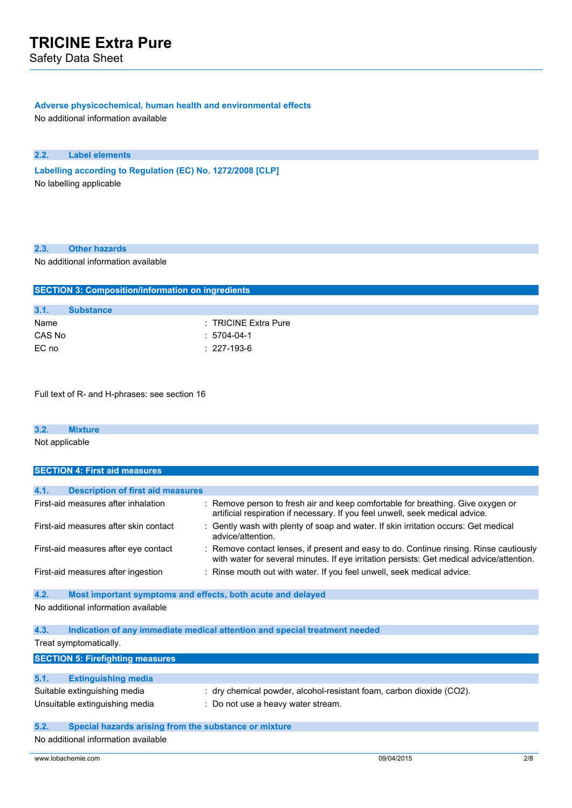Safety Data Sheet

### **Adverse physicochemical, human health and environmental effects**

No additional information available

### **2.2. Label elements**

**Labelling according** to Regulation (EC) No. 1272/2008 [CLP] No labelling applicable

### **2.3. Other hazards**

No additional information available

|        | <b>SECTION 3: Composition/information on ingredients</b> |                      |  |  |
|--------|----------------------------------------------------------|----------------------|--|--|
|        |                                                          |                      |  |  |
| 3.1.   | <b>Substance</b>                                         |                      |  |  |
| Name   |                                                          | : TRICINE Extra Pure |  |  |
| CAS No |                                                          | : 5704-04-1          |  |  |
| EC no  |                                                          | $: 227-193-6$        |  |  |

Full text of R- and H-phrases: see section 16

| 3.2.           |   |  |  |  |
|----------------|---|--|--|--|
| Not applicable | . |  |  |  |

| <b>SECTION 4: First aid measures</b>             |                                                                                                                                                                                     |
|--------------------------------------------------|-------------------------------------------------------------------------------------------------------------------------------------------------------------------------------------|
|                                                  |                                                                                                                                                                                     |
| 4.1.<br><b>Description of first aid measures</b> |                                                                                                                                                                                     |
| First-aid measures after inhalation              | : Remove person to fresh air and keep comfortable for breathing. Give oxygen or<br>artificial respiration if necessary. If you feel unwell, seek medical advice.                    |
| First-aid measures after skin contact            | : Gently wash with plenty of soap and water. If skin irritation occurs: Get medical<br>advice/attention.                                                                            |
| First-aid measures after eye contact             | : Remove contact lenses, if present and easy to do. Continue rinsing. Rinse cautiously<br>with water for several minutes. If eye irritation persists: Get medical advice/attention. |
| First-aid measures after ingestion               | : Rinse mouth out with water. If you feel unwell, seek medical advice.                                                                                                              |

### **4.2. Most important symptoms and effects, both acute and delayed** No additional information available

| 4.3.                           |                                         | Indication of any immediate medical attention and special treatment needed |  |  |
|--------------------------------|-----------------------------------------|----------------------------------------------------------------------------|--|--|
|                                | Treat symptomatically.                  |                                                                            |  |  |
|                                | <b>SECTION 5: Firefighting measures</b> |                                                                            |  |  |
|                                |                                         |                                                                            |  |  |
| 5.1.                           | <b>Extinguishing media</b>              |                                                                            |  |  |
| Suitable extinguishing media   |                                         | : dry chemical powder, alcohol-resistant foam, carbon dioxide (CO2).       |  |  |
| Unsuitable extinguishing media |                                         | : Do not use a heavy water stream.                                         |  |  |
|                                |                                         |                                                                            |  |  |

### **5.2. Special hazards arising from the substance or mixture**

No additional information available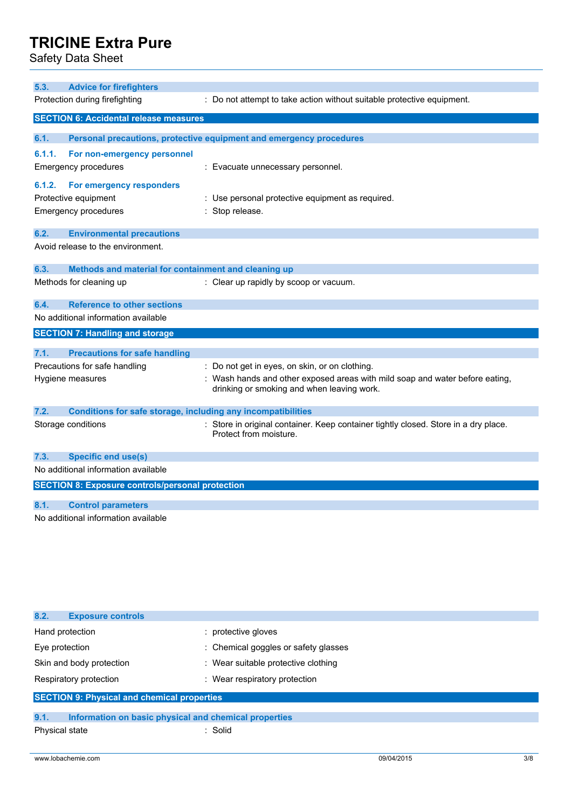Safety Data Sheet

| 5.3.   | <b>Advice for firefighters</b>                                      |                                                                                                                          |
|--------|---------------------------------------------------------------------|--------------------------------------------------------------------------------------------------------------------------|
|        | Protection during firefighting                                      | : Do not attempt to take action without suitable protective equipment.                                                   |
|        | <b>SECTION 6: Accidental release measures</b>                       |                                                                                                                          |
| 6.1.   |                                                                     | Personal precautions, protective equipment and emergency procedures                                                      |
| 6.1.1. | For non-emergency personnel                                         |                                                                                                                          |
|        | Emergency procedures                                                | : Evacuate unnecessary personnel.                                                                                        |
|        |                                                                     |                                                                                                                          |
| 6.1.2. | For emergency responders                                            |                                                                                                                          |
|        | Protective equipment                                                | : Use personal protective equipment as required.                                                                         |
|        | <b>Emergency procedures</b>                                         | : Stop release.                                                                                                          |
| 6.2.   | <b>Environmental precautions</b>                                    |                                                                                                                          |
|        | Avoid release to the environment.                                   |                                                                                                                          |
| 6.3.   | Methods and material for containment and cleaning up                |                                                                                                                          |
|        | Methods for cleaning up                                             | : Clear up rapidly by scoop or vacuum.                                                                                   |
| 6.4.   | <b>Reference to other sections</b>                                  |                                                                                                                          |
|        | No additional information available                                 |                                                                                                                          |
|        | <b>SECTION 7: Handling and storage</b>                              |                                                                                                                          |
| 7.1.   | <b>Precautions for safe handling</b>                                |                                                                                                                          |
|        | Precautions for safe handling                                       | : Do not get in eyes, on skin, or on clothing.                                                                           |
|        | Hygiene measures                                                    | Wash hands and other exposed areas with mild soap and water before eating,<br>drinking or smoking and when leaving work. |
| 7.2.   | <b>Conditions for safe storage, including any incompatibilities</b> |                                                                                                                          |
|        | Storage conditions                                                  | : Store in original container. Keep container tightly closed. Store in a dry place.<br>Protect from moisture.            |
| 7.3.   | <b>Specific end use(s)</b>                                          |                                                                                                                          |
|        | No additional information available                                 |                                                                                                                          |
|        | <b>SECTION 8: Exposure controls/personal protection</b>             |                                                                                                                          |
| 8.1.   | <b>Control parameters</b>                                           |                                                                                                                          |
|        | No additional information available                                 |                                                                                                                          |
|        |                                                                     |                                                                                                                          |

| 8.2.<br><b>Exposure controls</b>                              |                                      |
|---------------------------------------------------------------|--------------------------------------|
| Hand protection                                               | : protective gloves                  |
| Eye protection                                                | : Chemical goggles or safety glasses |
| Skin and body protection                                      | : Wear suitable protective clothing  |
| Respiratory protection                                        | : Wear respiratory protection        |
| <b>SECTION 9: Physical and chemical properties</b>            |                                      |
|                                                               |                                      |
| 9.1.<br>Information on basic physical and chemical properties |                                      |

## Physical state in the state of the state of the state in the state of the state in the state in the state in the state in the state in the state in the state in the state in the state in the state in the state in the state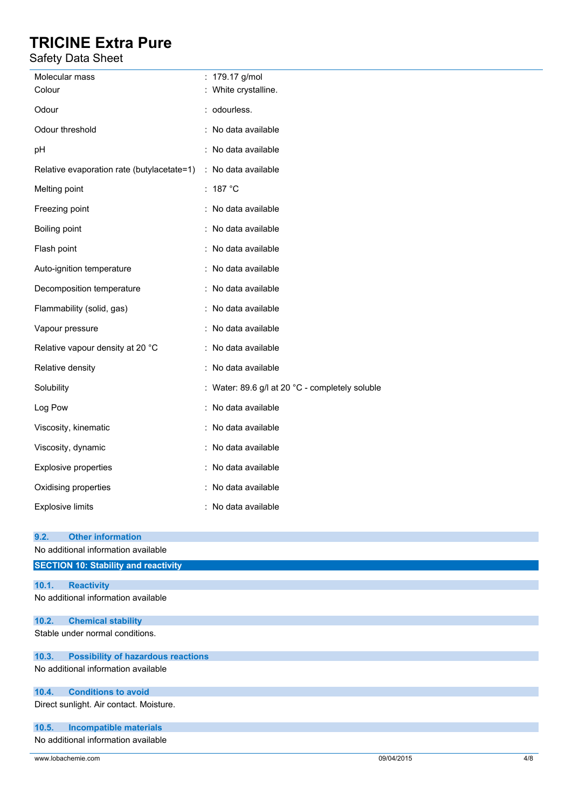## Safety Data Sheet

| Molecular mass                             | : 179.17 g/mol                                  |
|--------------------------------------------|-------------------------------------------------|
| Colour                                     | White crystalline.                              |
| Odour                                      | : odourless.                                    |
| Odour threshold                            | : No data available                             |
| pH                                         | : No data available                             |
| Relative evaporation rate (butylacetate=1) | : No data available                             |
| Melting point                              | : 187 °C                                        |
| Freezing point                             | : No data available                             |
| Boiling point                              | : No data available                             |
| Flash point                                | : No data available                             |
| Auto-ignition temperature                  | : No data available                             |
| Decomposition temperature                  | : No data available                             |
| Flammability (solid, gas)                  | : No data available                             |
| Vapour pressure                            | : No data available                             |
| Relative vapour density at 20 °C           | : No data available                             |
| Relative density                           | : No data available                             |
| Solubility                                 | : Water: 89.6 g/l at 20 °C - completely soluble |
| Log Pow                                    | : No data available                             |
| Viscosity, kinematic                       | : No data available                             |
| Viscosity, dynamic                         | : No data available                             |
| Explosive properties                       | : No data available                             |
| Oxidising properties                       | : No data available                             |
| <b>Explosive limits</b>                    | : No data available                             |
|                                            |                                                 |
| 9.2.<br><b>Other information</b>           |                                                 |

| No additional information available                |
|----------------------------------------------------|
| <b>SECTION 10: Stability and reactivity</b>        |
|                                                    |
| 10.1.<br><b>Reactivity</b>                         |
| No additional information available                |
|                                                    |
| 10.2.<br><b>Chemical stability</b>                 |
| Stable under normal conditions.                    |
|                                                    |
| <b>Possibility of hazardous reactions</b><br>10.3. |
| No additional information available                |
|                                                    |
| <b>Conditions to avoid</b><br>10.4.                |
| Direct sunlight. Air contact. Moisture.            |
|                                                    |
| <b>Incompatible materials</b><br>10.5.             |
| No additional information available                |

www.lobachemie.com 09/04/2015 4/8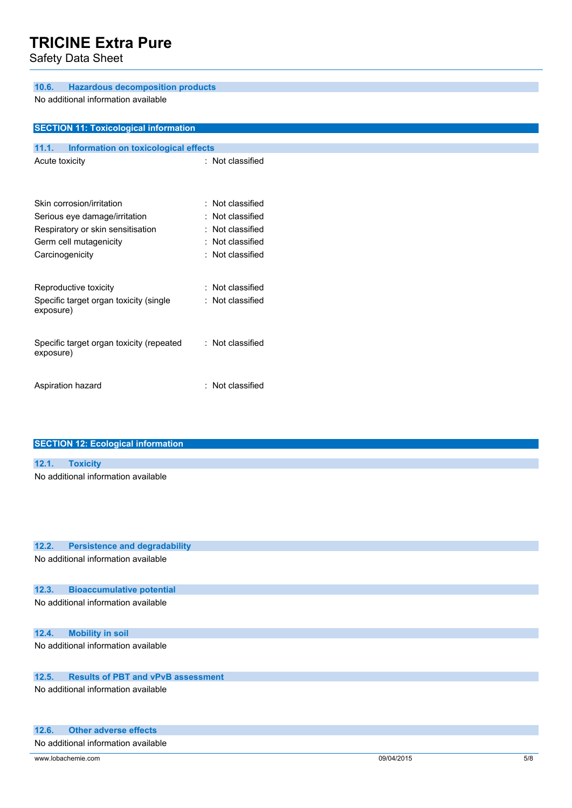Safety Data Sheet

### **10.6. Hazardous decomposition products**

No additional information available

| <b>SECTION 11: Toxicological information</b>          |                  |  |
|-------------------------------------------------------|------------------|--|
|                                                       |                  |  |
| 11.1.<br>Information on toxicological effects         |                  |  |
| Acute toxicity                                        | : Not classified |  |
| Skin corrosion/irritation                             | : Not classified |  |
| Serious eye damage/irritation                         | : Not classified |  |
| Respiratory or skin sensitisation                     | : Not classified |  |
| Germ cell mutagenicity                                | : Not classified |  |
| Carcinogenicity                                       | : Not classified |  |
| Reproductive toxicity                                 | : Not classified |  |
| Specific target organ toxicity (single<br>exposure)   | : Not classified |  |
| Specific target organ toxicity (repeated<br>exposure) | : Not classified |  |
| Aspiration hazard                                     | : Not classified |  |

| <b>SECTION 12: Ecological information</b> |                                     |  |  |
|-------------------------------------------|-------------------------------------|--|--|
|                                           |                                     |  |  |
| 12.1.                                     | <b>Toxicity</b>                     |  |  |
|                                           | No additional information available |  |  |
|                                           |                                     |  |  |
|                                           |                                     |  |  |
|                                           |                                     |  |  |

### **12.2. Persistence and degradability**

No additional information available

### **12.3. Bioaccumulative potential**

No additional information available

### **12.4. Mobility in soil**

No additional information available

### **12.5. Results of PBT and vPvB assessment**

No additional information available

### **12.6. Other adverse effects**

No additional information available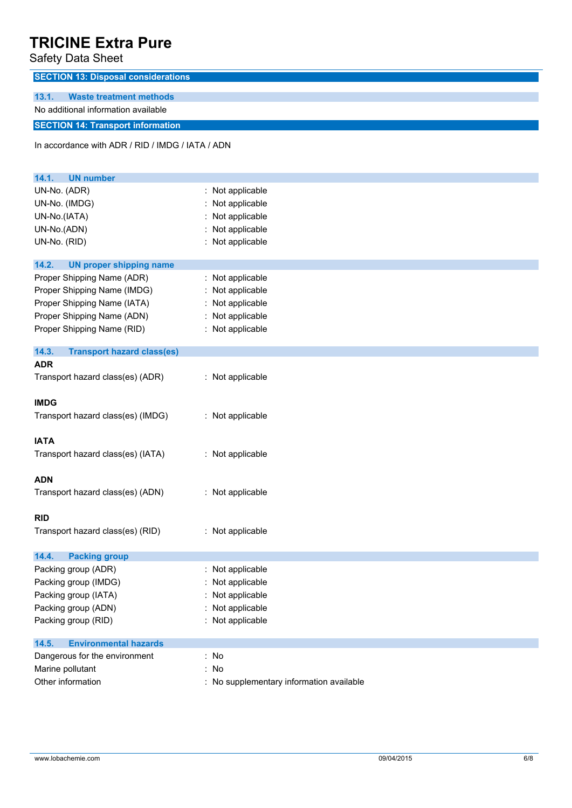Safety Data Sheet

**SECTION 13: Disposal considerations 13.1. Waste treatment methods** No additional information available **SECTION 14: Transport information** In accordance with ADR / RID / IMDG / IATA / ADN **14.1. UN number** UN-No. (ADR) : Not applicable UN-No. (IMDG) : Not applicable UN-No.(IATA) : Not applicable UN-No.(ADN) : Not applicable UN-No. (RID) : Not applicable **14.2. UN proper shipping name** Proper Shipping Name (ADR) : Not applicable Proper Shipping Name (IMDG) : Not applicable Proper Shipping Name (IATA) : Not applicable Proper Shipping Name (ADN) : Not applicable Proper Shipping Name (RID) : Not applicable **14.3. Transport hazard class(es) ADR** Transport hazard class(es) (ADR) : Not applicable **IMDG** Transport hazard class(es) (IMDG) : Not applicable **IATA** Transport hazard class(es) (IATA) : Not applicable **ADN** Transport hazard class(es) (ADN) : Not applicable **RID** Transport hazard class(es) (RID) : Not applicable **14.4. Packing group** Packing group (ADR) : Not applicable Packing group (IMDG) : Not applicable Packing group (IATA) : Not applicable Packing group (ADN) : Not applicable Packing group (RID) : Not applicable **14.5. Environmental hazards** Dangerous for the environment : No Marine pollutant in the set of the set of the set of the set of the set of the set of the set of the set of the set of the set of the set of the set of the set of the set of the set of the set of the set of the set of the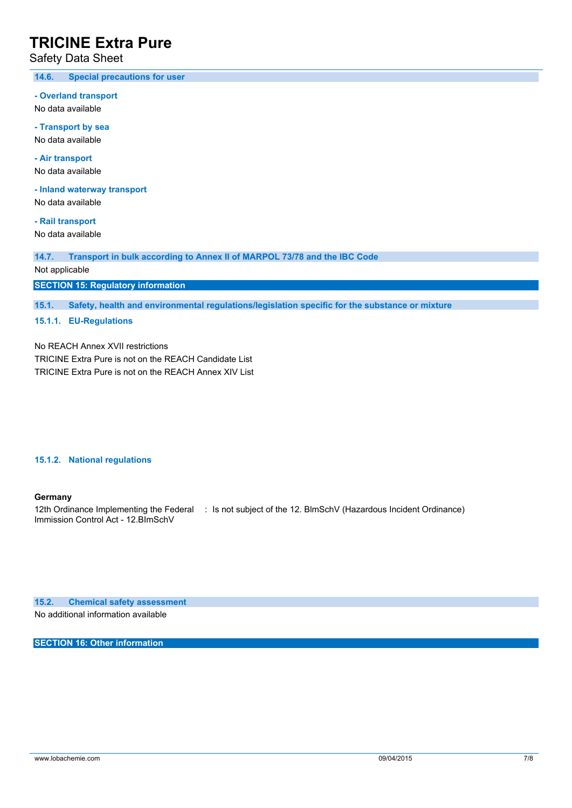Safety Data Sheet

**14.6. Special precautions for user**

**- Overland transport**

No data available

**- Transport by sea** No data available

**- Air transport** No data available

**- Inland waterway transport**

No data available

**- Rail transport** No data available

**14.7. Transport in bulk according to Annex II of MARPOL 73/78 and the IBC Code**

Not applicable

**SECTION 15: Regulatory information**

**15.1. Safety, health and environmental regulations/legislation specific for the substance or mixture**

**15.1.1. EU-Regulations**

No REACH Annex XVII restrictions TRICINE Extra Pure is not on the REACH Candidate List TRICINE Extra Pure is not on the REACH Annex XIV List

#### **15.1.2. National regulations**

#### **Germany**

12th Ordinance Implementing the Federal : Is not subject of the 12. BlmSchV (Hazardous Incident Ordinance) Immission Control Act - 12.BImSchV

**15.2. Chemical safety assessment**

No additional information available

**SECTION 16: Other information**